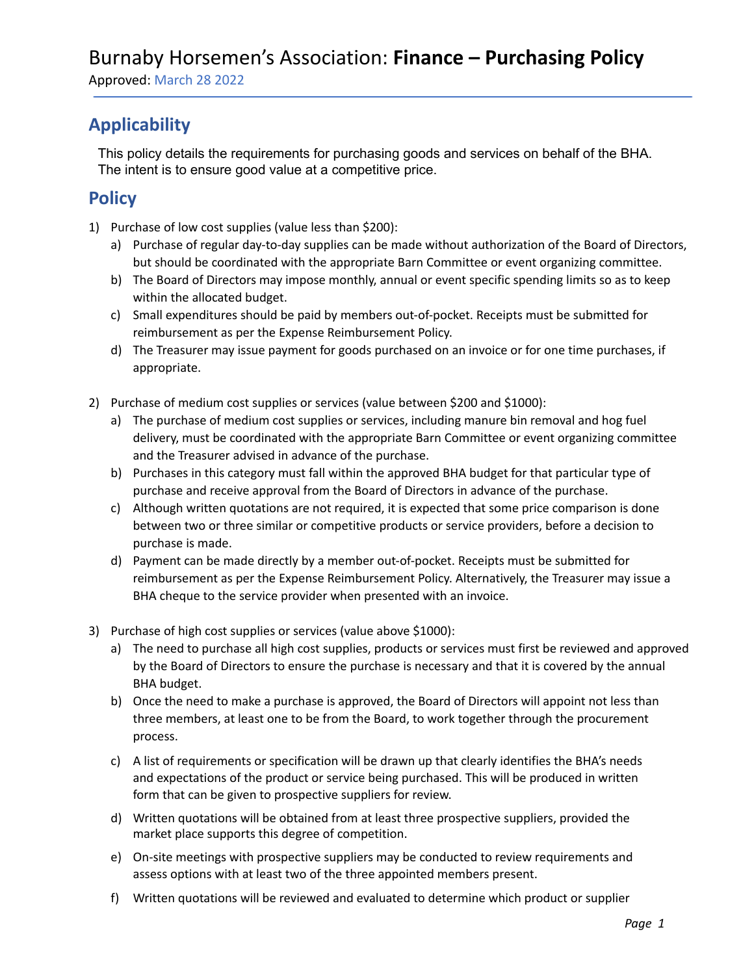Approved: March 28 2022

### **Applicability**

This policy details the requirements for purchasing goods and services on behalf of the BHA. The intent is to ensure good value at a competitive price.

#### **Policy**

- 1) Purchase of low cost supplies (value less than \$200):
	- a) Purchase of regular day-to-day supplies can be made without authorization of the Board of Directors, but should be coordinated with the appropriate Barn Committee or event organizing committee.
	- b) The Board of Directors may impose monthly, annual or event specific spending limits so as to keep within the allocated budget.
	- c) Small expenditures should be paid by members out-of-pocket. Receipts must be submitted for reimbursement as per the Expense Reimbursement Policy.
	- d) The Treasurer may issue payment for goods purchased on an invoice or for one time purchases, if appropriate.
- 2) Purchase of medium cost supplies or services (value between \$200 and \$1000):
	- a) The purchase of medium cost supplies or services, including manure bin removal and hog fuel delivery, must be coordinated with the appropriate Barn Committee or event organizing committee and the Treasurer advised in advance of the purchase.
	- b) Purchases in this category must fall within the approved BHA budget for that particular type of purchase and receive approval from the Board of Directors in advance of the purchase.
	- c) Although written quotations are not required, it is expected that some price comparison is done between two or three similar or competitive products or service providers, before a decision to purchase is made.
	- d) Payment can be made directly by a member out-of-pocket. Receipts must be submitted for reimbursement as per the Expense Reimbursement Policy. Alternatively, the Treasurer may issue a BHA cheque to the service provider when presented with an invoice.
- 3) Purchase of high cost supplies or services (value above \$1000):
	- a) The need to purchase all high cost supplies, products or services must first be reviewed and approved by the Board of Directors to ensure the purchase is necessary and that it is covered by the annual BHA budget.
	- b) Once the need to make a purchase is approved, the Board of Directors will appoint not less than three members, at least one to be from the Board, to work together through the procurement process.
	- c) A list of requirements or specification will be drawn up that clearly identifies the BHA's needs and expectations of the product or service being purchased. This will be produced in written form that can be given to prospective suppliers for review.
	- d) Written quotations will be obtained from at least three prospective suppliers, provided the market place supports this degree of competition.
	- e) On-site meetings with prospective suppliers may be conducted to review requirements and assess options with at least two of the three appointed members present.
	- f) Written quotations will be reviewed and evaluated to determine which product or supplier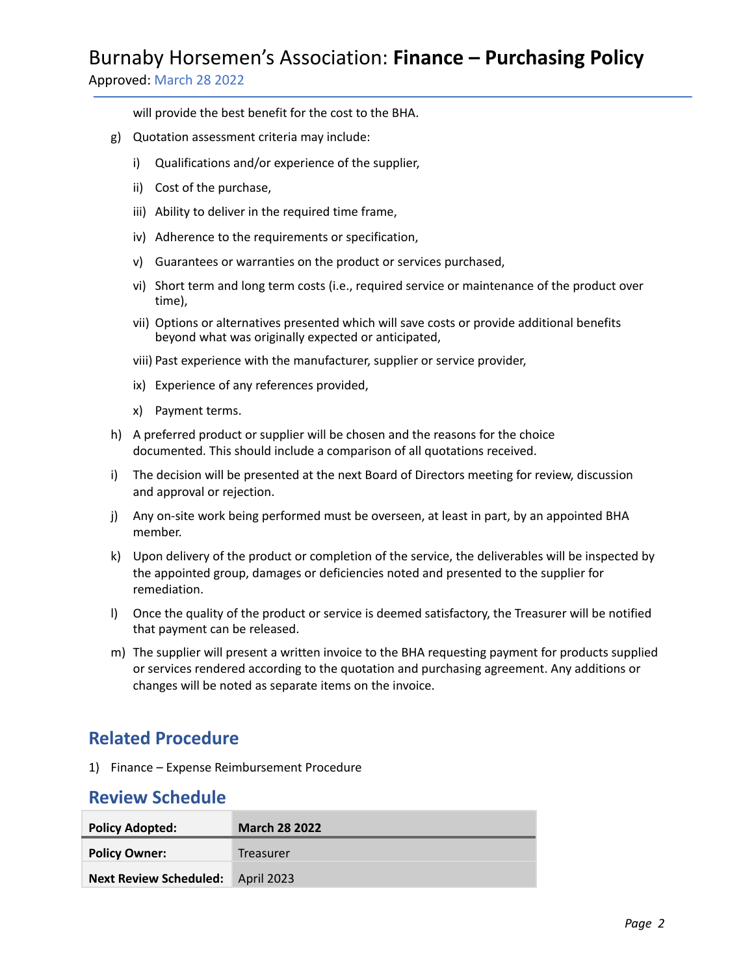# Burnaby Horsemen's Association: **Finance – Purchasing Policy**

Approved: March 28 2022

will provide the best benefit for the cost to the BHA.

- g) Quotation assessment criteria may include:
	- i) Qualifications and/or experience of the supplier,
	- ii) Cost of the purchase,
	- iii) Ability to deliver in the required time frame,
	- iv) Adherence to the requirements or specification,
	- v) Guarantees or warranties on the product or services purchased,
	- vi) Short term and long term costs (i.e., required service or maintenance of the product over time),
	- vii) Options or alternatives presented which will save costs or provide additional benefits beyond what was originally expected or anticipated,
	- viii) Past experience with the manufacturer, supplier or service provider,
	- ix) Experience of any references provided,
	- x) Payment terms.
- h) A preferred product or supplier will be chosen and the reasons for the choice documented. This should include a comparison of all quotations received.
- i) The decision will be presented at the next Board of Directors meeting for review, discussion and approval or rejection.
- j) Any on-site work being performed must be overseen, at least in part, by an appointed BHA member.
- k) Upon delivery of the product or completion of the service, the deliverables will be inspected by the appointed group, damages or deficiencies noted and presented to the supplier for remediation.
- l) Once the quality of the product or service is deemed satisfactory, the Treasurer will be notified that payment can be released.
- m) The supplier will present a written invoice to the BHA requesting payment for products supplied or services rendered according to the quotation and purchasing agreement. Any additions or changes will be noted as separate items on the invoice.

#### **Related Procedure**

1) Finance – Expense Reimbursement Procedure

#### **Review Schedule**

| <b>Policy Adopted:</b>                   | <b>March 28 2022</b> |
|------------------------------------------|----------------------|
| <b>Policy Owner:</b>                     | Treasurer            |
| <b>Next Review Scheduled:</b> April 2023 |                      |